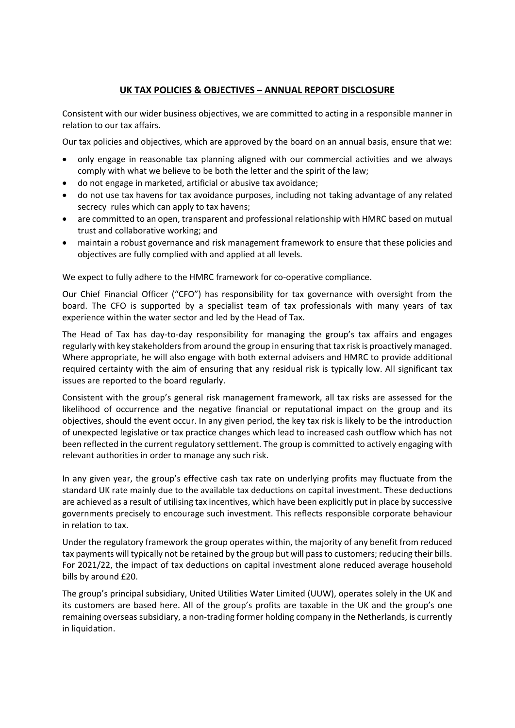## **UK TAX POLICIES & OBJECTIVES – ANNUAL REPORT DISCLOSURE**

Consistent with our wider business objectives, we are committed to acting in a responsible manner in relation to our tax affairs.

Our tax policies and objectives, which are approved by the board on an annual basis, ensure that we:

- only engage in reasonable tax planning aligned with our commercial activities and we always comply with what we believe to be both the letter and the spirit of the law;
- do not engage in marketed, artificial or abusive tax avoidance;
- do not use tax havens for tax avoidance purposes, including not taking advantage of any related secrecy rules which can apply to tax havens;
- are committed to an open, transparent and professional relationship with HMRC based on mutual trust and collaborative working; and
- maintain a robust governance and risk management framework to ensure that these policies and objectives are fully complied with and applied at all levels.

We expect to fully adhere to the HMRC framework for co-operative compliance.

Our Chief Financial Officer ("CFO") has responsibility for tax governance with oversight from the board. The CFO is supported by a specialist team of tax professionals with many years of tax experience within the water sector and led by the Head of Tax.

The Head of Tax has day-to-day responsibility for managing the group's tax affairs and engages regularly with key stakeholdersfrom around the group in ensuring that tax risk is proactively managed. Where appropriate, he will also engage with both external advisers and HMRC to provide additional required certainty with the aim of ensuring that any residual risk is typically low. All significant tax issues are reported to the board regularly.

Consistent with the group's general risk management framework, all tax risks are assessed for the likelihood of occurrence and the negative financial or reputational impact on the group and its objectives, should the event occur. In any given period, the key tax risk is likely to be the introduction of unexpected legislative or tax practice changes which lead to increased cash outflow which has not been reflected in the current regulatory settlement. The group is committed to actively engaging with relevant authorities in order to manage any such risk.

In any given year, the group's effective cash tax rate on underlying profits may fluctuate from the standard UK rate mainly due to the available tax deductions on capital investment. These deductions are achieved as a result of utilising tax incentives, which have been explicitly put in place by successive governments precisely to encourage such investment. This reflects responsible corporate behaviour in relation to tax.

Under the regulatory framework the group operates within, the majority of any benefit from reduced tax payments will typically not be retained by the group but will passto customers; reducing their bills. For 2021/22, the impact of tax deductions on capital investment alone reduced average household bills by around £20.

The group's principal subsidiary, United Utilities Water Limited (UUW), operates solely in the UK and its customers are based here. All of the group's profits are taxable in the UK and the group's one remaining overseas subsidiary, a non-trading former holding company in the Netherlands, is currently in liquidation.